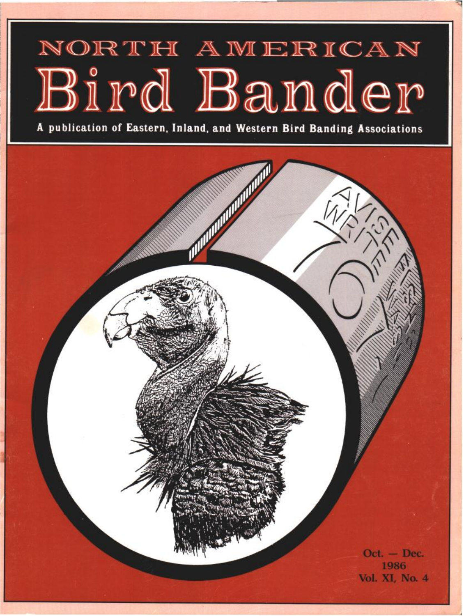# NORTH AMERICAN Bird Bander

**A publication of Eastern, Inland, and Western Bird Banding Associations** 

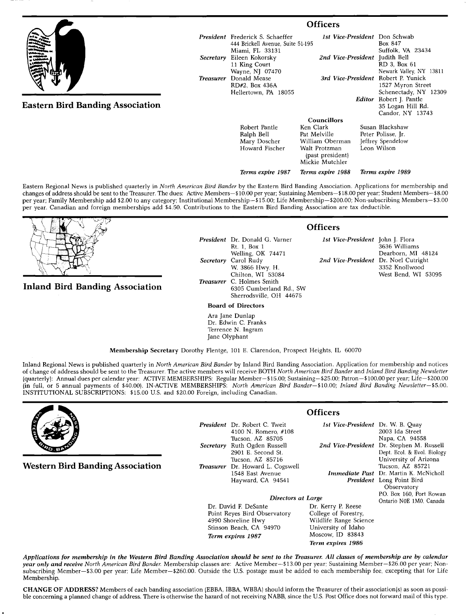|                                         | <b>Officers</b>                                                                                 |                                                                                                      |                                                                           |
|-----------------------------------------|-------------------------------------------------------------------------------------------------|------------------------------------------------------------------------------------------------------|---------------------------------------------------------------------------|
|                                         | <b>President</b> Frederick S. Schaeffer<br>444 Brickell Avenue, Suite 51-195<br>Miami, FL 33131 | 1st Vice-President Don Schwab                                                                        | Box 847<br>Suffolk, VA 23434                                              |
| Secretary                               | Eileen Kokorsky<br>11 King Court<br>Wayne, NJ 07470                                             | 2nd Vice-President Judith Bell                                                                       | RD 3, Box 61<br>Newark Valley, NY 13811                                   |
| <b>Treasurer</b>                        | Donald Mease<br>RD#2, Box 436A<br>Hellertown, PA 18055                                          | 3rd Vice-President Robert P. Yunick                                                                  | 1527 Myron Street<br>Schenectady, NY 12309                                |
| <b>Eastern Bird Banding Association</b> |                                                                                                 | Editor                                                                                               | Robert J. Pantle<br>35 Logan Hill Rd.<br>Candor, NY 13743                 |
|                                         |                                                                                                 | <b>Councillors</b>                                                                                   |                                                                           |
|                                         | Robert Pantle<br>Ralph Bell<br>Mary Doscher<br>Howard Fischer                                   | Ken Clark<br>Pat Melville<br>William Oberman<br>Walt Protzman<br>(past president)<br>Mickie Mutchler | Susan Blackshaw<br>Peter Polisse, Jr.<br>Jeffrey Spendelow<br>Leon Wilson |

**Eastern Regional News is published quarterly in North American Bird Bander by the Eastern Bird Banding Association. Applications for membership and**  changes of address should be sent to the Treasurer. The dues: Active Members-\$10.00 per year; Sustaining Members-\$18.00 per year; Student Members-\$8.00 **per year; Family Membership add \$2.00 to any category; Institutional Membership--\$15.00; Life Membership--S200.00; Non-subscribing Members--S3.00 per year. Canadian and foreign memberships add \$4.50. Contributions to the Eastern Bird Banding Association are tax deductible.** 



## **Inland Bird Banding Association**

**President Dr. Donald G. Varner Rt. 1, Box 1 Welling, OK 74471 Secretary Carol Rudy W. 3866 Hwy. H. Chilton, WI 53084 Treasurer C. Holmes Smith 6305 Cumberland Rd., SW Sherrodsville, OH 44675** 

**Board of Directors** 

**Ara Jane Dunlap Dr. Edwin C. Franks Terrence N. Ingram Jane OIyphant** 

**Membership Secretary Dorothy Flentge, 101 E. Clarendon, Prospect Heights, IL 60070** 

**Inland Regional News is published quarterly in North American Bird Bander by Inland Bird Banding Association. Application for membership and notices of change of address should be sent to the Treasurer. The active members will receive BOTH North American Bird Bander and Inland Bird Banding Newsletter lquarterly): Annual dues per calendar year: ACTIVE MEMBERSHIPS: Regular Member--\$15.00; Sustaining--\$25.00: Patron--\$100.00 per year; Life--S200.00**  (in full, or 5 annual payments of \$40.00). IN-ACTIVE MEMBERSHIPS: North American Bird Bander-\$10.00; Inland Bird Banding Newsletter-\$5.00. **INSTITUTIONAL SUBSCRIPTIONS: \$15.00 U.S. and \$20.00 Foreign, including Canadian.** 



**Western Bird Banding Association** 

**President Dr. Robert C. Tweit 4100 N. Romero, #108 Tucson, AZ 85705 Secretary Ruth Ogden Russell 2901 E. Second St. Tucson, AZ 85716**  Treasurer Dr. Howard L. Cogsw **1548 East Avenue Hayward, CA 94541** 

#### **Officers**

| www.       |                                               |
|------------|-----------------------------------------------|
|            | 1st Vice-President Dr. W. B. Quay             |
|            | 2003 Ida Street                               |
|            | Napa, CA 94558                                |
|            | 2nd Vice-President Dr. Stephen M. Russell     |
|            | Dept. Ecol. & Evol. Biology                   |
|            | University of Arizona                         |
| ell        | Tucson, AZ 85721                              |
|            | <b>Immediate Past</b> Dr. Martin K. McNicholl |
|            | <b>President</b> Long Point Bird              |
|            | Observatory                                   |
|            | P.O. Box 160, Port Rowan                      |
| s at Large | Ontario N0E 1M0, Canada                       |
|            |                                               |

**Director** 

**Dr. David E DeSante Point Reyes Bird Observatory 4990 Shoreline Hwy Stinson Beach, CA 94970 Term expires 1987** 

**Dr. Kerry P. Reese College of Forestry, Wildlife Range Science University of Idaho Moscow, ID 83843 Term expires 1986** 

**Applications for membership in the Western Bird Banding Association should be sent to the Treasurer. All classes of membership are by calendar**  year only and receive North American Bird Bander. Membership classes are: Active Member-\$13.00 per year; Sustaining Member-\$26.00 per year; Non**subscribing Member--S3.00 per year; Life Member--S260.00. Outside the U.S. postage must be added to each membership fee, excepting that for Life Membership.** 

CHANGE OF ADDRESS? Members of each banding association (EBBA, IBBA, WBBA) should inform the Treasurer of their association(s) as soon as possi**ble concerning a planned change of address. There is otherwise the hazard of not receiving NABB, since the U.S. Post Office does not forward mail of this type.** 

### **Officers**

**Terms expire 1987 Terms expire 1988 Terms expire 1989** 

**1st Vice-President John J. Flora 3636 Williams Dearborn, MI 48124 2nd Vice-President Dr. Noel Cutright 3352 Knollwood West Bend, WI 53095**